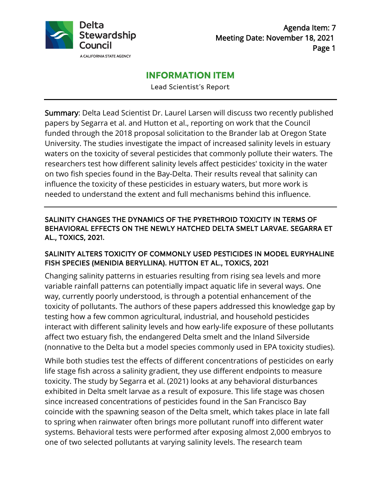

# **INFORMATION ITEM**

Lead Scientist's Report

Summary: Delta Lead Scientist Dr. Laurel Larsen will discuss two recently published papers by Segarra et al. and Hutton et al., reporting on work that the Council funded through the 2018 proposal solicitation to the Brander lab at Oregon State University. The studies investigate the impact of increased salinity levels in estuary waters on the toxicity of several pesticides that commonly pollute their waters. The researchers test how different salinity levels affect pesticides' toxicity in the water on two fish species found in the Bay-Delta. Their results reveal that salinity can influence the toxicity of these pesticides in estuary waters, but more work is needed to understand the extent and full mechanisms behind this influence.

# SALINITY CHANGES THE DYNAMICS OF THE PYRETHROID TOXICITY IN TERMS OF BEHAVIORAL EFFECTS ON THE NEWLY HATCHED DELTA SMELT LARVAE. SEGARRA ET AL., TOXICS, 2021.

## SALINITY ALTERS TOXICITY OF COMMONLY USED PESTICIDES IN MODEL EURYHALINE FISH SPECIES (MENIDIA BERYLLINA). HUTTON ET AL., TOXICS, 2021

Changing salinity patterns in estuaries resulting from rising sea levels and more variable rainfall patterns can potentially impact aquatic life in several ways. One way, currently poorly understood, is through a potential enhancement of the toxicity of pollutants. The authors of these papers addressed this knowledge gap by testing how a few common agricultural, industrial, and household pesticides interact with different salinity levels and how early-life exposure of these pollutants affect two estuary fish, the endangered Delta smelt and the Inland Silverside (nonnative to the Delta but a model species commonly used in EPA toxicity studies).

While both studies test the effects of different concentrations of pesticides on early life stage fish across a salinity gradient, they use different endpoints to measure toxicity. The study by Segarra et al. (2021) looks at any behavioral disturbances exhibited in Delta smelt larvae as a result of exposure. This life stage was chosen since increased concentrations of pesticides found in the San Francisco Bay coincide with the spawning season of the Delta smelt, which takes place in late fall to spring when rainwater often brings more pollutant runoff into different water systems. Behavioral tests were performed after exposing almost 2,000 embryos to one of two selected pollutants at varying salinity levels. The research team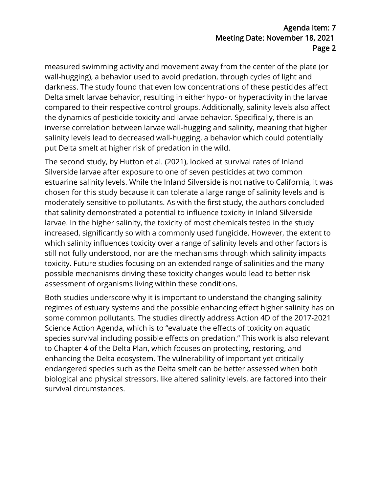# Agenda Item: 7 Meeting Date: November 18, 2021 Page 2

measured swimming activity and movement away from the center of the plate (or wall-hugging), a behavior used to avoid predation, through cycles of light and darkness. The study found that even low concentrations of these pesticides affect Delta smelt larvae behavior, resulting in either hypo- or hyperactivity in the larvae compared to their respective control groups. Additionally, salinity levels also affect the dynamics of pesticide toxicity and larvae behavior. Specifically, there is an inverse correlation between larvae wall-hugging and salinity, meaning that higher salinity levels lead to decreased wall-hugging, a behavior which could potentially put Delta smelt at higher risk of predation in the wild.

The second study, by Hutton et al. (2021), looked at survival rates of Inland Silverside larvae after exposure to one of seven pesticides at two common estuarine salinity levels. While the Inland Silverside is not native to California, it was chosen for this study because it can tolerate a large range of salinity levels and is moderately sensitive to pollutants. As with the first study, the authors concluded that salinity demonstrated a potential to influence toxicity in Inland Silverside larvae. In the higher salinity, the toxicity of most chemicals tested in the study increased, significantly so with a commonly used fungicide. However, the extent to which salinity influences toxicity over a range of salinity levels and other factors is still not fully understood, nor are the mechanisms through which salinity impacts toxicity. Future studies focusing on an extended range of salinities and the many possible mechanisms driving these toxicity changes would lead to better risk assessment of organisms living within these conditions.

Both studies underscore why it is important to understand the changing salinity regimes of estuary systems and the possible enhancing effect higher salinity has on some common pollutants. The studies directly address Action 4D of the 2017-2021 Science Action Agenda, which is to "evaluate the effects of toxicity on aquatic species survival including possible effects on predation." This work is also relevant to Chapter 4 of the Delta Plan, which focuses on protecting, restoring, and enhancing the Delta ecosystem. The vulnerability of important yet critically endangered species such as the Delta smelt can be better assessed when both biological and physical stressors, like altered salinity levels, are factored into their survival circumstances.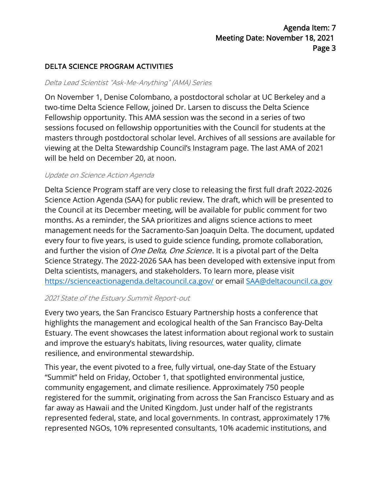# DELTA SCIENCE PROGRAM ACTIVITIES

#### Delta Lead Scientist "Ask-Me-Anything" (AMA) Series

On November 1, Denise Colombano, a postdoctoral scholar at UC Berkeley and a two-time Delta Science Fellow, joined Dr. Larsen to discuss the Delta Science Fellowship opportunity. This AMA session was the second in a series of two sessions focused on fellowship opportunities with the Council for students at the masters through postdoctoral scholar level. Archives of all sessions are available for viewing at the Delta Stewardship Council's Instagram page. The last AMA of 2021 will be held on December 20, at noon.

#### Update on Science Action Agenda

Delta Science Program staff are very close to releasing the first full draft 2022-2026 Science Action Agenda (SAA) for public review. The draft, which will be presented to the Council at its December meeting, will be available for public comment for two months. As a reminder, the SAA prioritizes and aligns science actions to meet management needs for the Sacramento-San Joaquin Delta. The document, updated every four to five years, is used to guide science funding, promote collaboration, and further the vision of *One Delta, One Science*. It is a pivotal part of the Delta Science Strategy. The 2022-2026 SAA has been developed with extensive input from Delta scientists, managers, and stakeholders. To learn more, please visit <https://scienceactionagenda.deltacouncil.ca.gov/> or email [SAA@deltacouncil.ca.gov](mailto:SAA@deltacouncil.ca.gov) 

#### 2021 State of the Estuary Summit Report-out

Every two years, the San Francisco Estuary Partnership hosts a conference that highlights the management and ecological health of the San Francisco Bay-Delta Estuary. The event showcases the latest information about regional work to sustain and improve the estuary's habitats, living resources, water quality, climate resilience, and environmental stewardship.

This year, the event pivoted to a free, fully virtual, one-day State of the Estuary "Summit" held on Friday, October 1, that spotlighted environmental justice, community engagement, and climate resilience. Approximately 750 people registered for the summit, originating from across the San Francisco Estuary and as far away as Hawaii and the United Kingdom. Just under half of the registrants represented federal, state, and local governments. In contrast, approximately 17% represented NGOs, 10% represented consultants, 10% academic institutions, and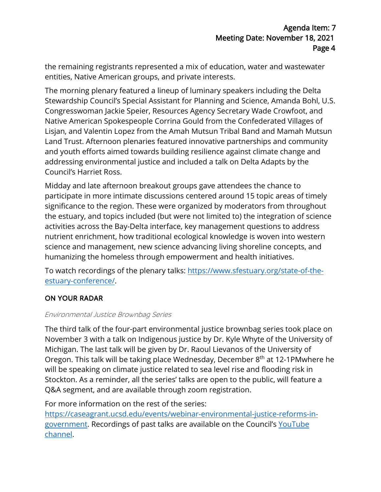the remaining registrants represented a mix of education, water and wastewater entities, Native American groups, and private interests.

The morning plenary featured a lineup of luminary speakers including the Delta Stewardship Council's Special Assistant for Planning and Science, Amanda Bohl, U.S. Congresswoman Jackie Speier, Resources Agency Secretary Wade Crowfoot, and Native American Spokespeople Corrina Gould from the Confederated Villages of Lisjan, and Valentin Lopez from the Amah Mutsun Tribal Band and Mamah Mutsun Land Trust. Afternoon plenaries featured innovative partnerships and community and youth efforts aimed towards building resilience against climate change and addressing environmental justice and included a talk on Delta Adapts by the Council's Harriet Ross.

Midday and late afternoon breakout groups gave attendees the chance to participate in more intimate discussions centered around 15 topic areas of timely significance to the region. These were organized by moderators from throughout the estuary, and topics included (but were not limited to) the integration of science activities across the Bay-Delta interface, key management questions to address nutrient enrichment, how traditional ecological knowledge is woven into western science and management, new science advancing living shoreline concepts, and humanizing the homeless through empowerment and health initiatives.

To watch recordings of the plenary talks: [https://www.sfestuary.org/state-of-the](https://www.sfestuary.org/state-of-the-estuary-conference/)[estuary-conference/.](https://www.sfestuary.org/state-of-the-estuary-conference/)

# ON YOUR RADAR

### Environmental Justice Brownbag Series

The third talk of the four-part environmental justice brownbag series took place on November 3 with a talk on Indigenous justice by Dr. Kyle Whyte of the University of Michigan. The last talk will be given by Dr. Raoul Lievanos of the University of Oregon. This talk will be taking place Wednesday, December 8<sup>th</sup> at 12-1PMwhere he will be speaking on climate justice related to sea level rise and flooding risk in Stockton. As a reminder, all the series' talks are open to the public, will feature a Q&A segment, and are available through zoom registration.

For more information on the rest of the series:

[https://caseagrant.ucsd.edu/events/webinar-environmental-justice-reforms-in](https://caseagrant.ucsd.edu/events/webinar-environmental-justice-reforms-in-government)[government.](https://caseagrant.ucsd.edu/events/webinar-environmental-justice-reforms-in-government) Recordings of past talks are available on the Council's [YouTube](https://www.youtube.com/channel/UC0eTQekhfMUXBY9CGTU8yjg) [channel.](https://www.youtube.com/channel/UC0eTQekhfMUXBY9CGTU8yjg)